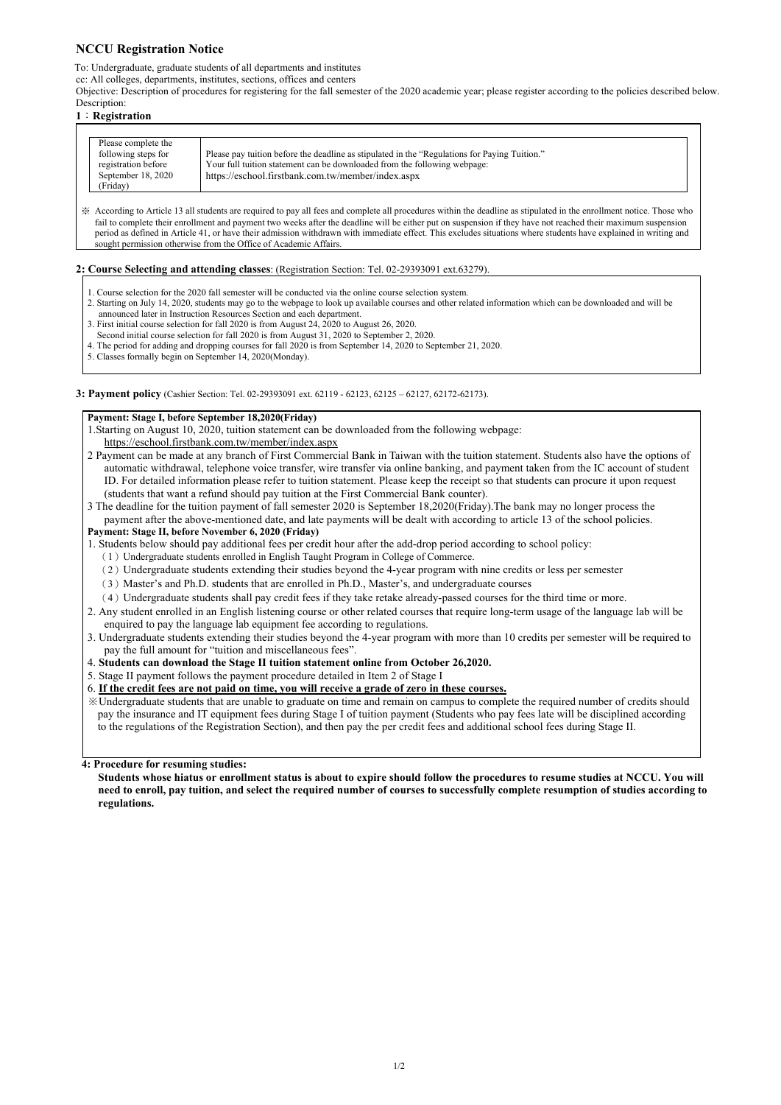# **NCCU Registration Notice**

To: Undergraduate, graduate students of all departments and institutes

cc: All colleges, departments, institutes, sections, offices and centers

Objective: Description of procedures for registering for the fall semester of the 2020 academic year; please register according to the policies described below. Description:

## **1**:**Registration**

| Please complete the                        |                                                                                                                                                                            |
|--------------------------------------------|----------------------------------------------------------------------------------------------------------------------------------------------------------------------------|
| following steps for<br>registration before | Please pay tuition before the deadline as stipulated in the "Regulations for Paying Tuition."<br>Your full tuition statement can be downloaded from the following webpage: |
| September 18, 2020                         | https://eschool.firstbank.com.tw/member/index.aspx                                                                                                                         |
| (Friday)                                   |                                                                                                                                                                            |

※ According to Article 13 all students are required to pay all fees and complete all procedures within the deadline as stipulated in the enrollment notice. Those who fail to complete their enrollment and payment two weeks after the deadline will be either put on suspension if they have not reached their maximum suspension period as defined in Article 41, or have their admission withdrawn with immediate effect. This excludes situations where students have explained in writing and sought permission otherwise from the Office of Academic Affairs.

## **2: Course Selecting and attending classes**: (Registration Section: Tel. 02-29393091 ext.63279).

- 1. Course selection for the 2020 fall semester will be conducted via the online course selection system.
- 2. Starting on July 14, 2020, students may go to the webpage to look up available courses and other related information which can be downloaded and will be announced later in Instruction Resources Section and each department.
- 3. First initial course selection for fall 2020 is from August 24, 2020 to August 26, 2020.
- Second initial course selection for fall 2020 is from August 31, 2020 to September 2, 2020.
- 4. The period for adding and dropping courses for fall 2020 is from September 14, 2020 to September 21, 2020.
- 5. Classes formally begin on September 14, 2020(Monday).

**3: Payment policy** (Cashier Section: Tel. 02-29393091 ext. 62119 - 62123, 62125 – 62127, 62172-62173).

## **Payment: Stage I, before September 18,2020(Friday)**

1.Starting on August 10, 2020, tuition statement can be downloaded from the following webpage: https://eschool.firstbank.com.tw/member/index.aspx

- 2 Payment can be made at any branch of First Commercial Bank in Taiwan with the tuition statement. Students also have the options of automatic withdrawal, telephone voice transfer, wire transfer via online banking, and payment taken from the IC account of student ID. For detailed information please refer to tuition statement. Please keep the receipt so that students can procure it upon request (students that want a refund should pay tuition at the First Commercial Bank counter).
- 3 The deadline for the tuition payment of fall semester 2020 is September 18,2020(Friday).The bank may no longer process the payment after the above-mentioned date, and late payments will be dealt with according to article 13 of the school policies.

## **Payment: Stage II, before November 6, 2020 (Friday)**

1. Students below should pay additional fees per credit hour after the add-drop period according to school policy:

- (1)Undergraduate students enrolled in English Taught Program in College of Commerce.
- (2)Undergraduate students extending their studies beyond the 4-year program with nine credits or less per semester
- (3)Master's and Ph.D. students that are enrolled in Ph.D., Master's, and undergraduate courses
- (4)Undergraduate students shall pay credit fees if they take retake already-passed courses for the third time or more.
- 2. Any student enrolled in an English listening course or other related courses that require long-term usage of the language lab will be enquired to pay the language lab equipment fee according to regulations.
- 3. Undergraduate students extending their studies beyond the 4-year program with more than 10 credits per semester will be required to pay the full amount for "tuition and miscellaneous fees".
- 4. **Students can download the Stage II tuition statement online from October 26,2020.**
- 5. Stage II payment follows the payment procedure detailed in Item 2 of Stage I

## 6. **If the credit fees are not paid on time, you will receive a grade of zero in these courses.**

※Undergraduate students that are unable to graduate on time and remain on campus to complete the required number of credits should pay the insurance and IT equipment fees during Stage I of tuition payment (Students who pay fees late will be disciplined according to the regulations of the Registration Section), and then pay the per credit fees and additional school fees during Stage II.

 **4: Procedure for resuming studies:** 

 **Students whose hiatus or enrollment status is about to expire should follow the procedures to resume studies at NCCU. You will need to enroll, pay tuition, and select the required number of courses to successfully complete resumption of studies according to regulations.**